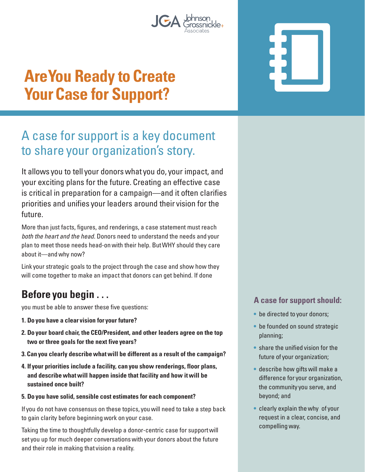

# **Are You Ready to Create Your Case for Support?**

# A case for support is a key document to share your organization's story.

It allows you to tell your donors what you do, your impact, and your exciting plans for the future. Creating an effective case is critical in preparation for a campaign—and it often clarifies priorities and unifies your leaders around their vision for the future.

More than just facts, figures, and renderings, a case statement must reach both the heart and the head. Donors need to understand the needs and your plan to meet those needs head-on with their help. But WHY should they care about it—and why now?

Link your strategic goals to the project through the case and show how they will come together to make an impact that donors can get behind. If done

## **Before you begin . . .**

you must be able to answer these five questions:

- **1. Do you have a clear vision for your future?**
- **2. Do your board chair, the CEO/President, and other leaders agree on the top two or three goals for the next five years?**
- **3. Can you clearly describe what will be different as a result of the campaign?**
- **4. If your priorities include a facility, can you show renderings, floor plans, and describe what will happen inside that facility and how it will be sustained once built?**

#### **5. Do you have solid, sensible cost estimates for each component?**

If you do not have consensus on these topics, you will need to take a step back to gain clarity before beginning work on your case.

Taking the time to thoughtfully develop a donor-centric case for support will set you up for much deeper conversations with your donors about the future and their role in making that vision a reality.

### **A case for support should:**

- be directed to your donors;
- be founded on sound strategic planning;
- share the unified vision for the future of your organization;
- describe how gifts will make a difference for your organization, the community you serve, and beyond; and
- clearly explain the why of your request in a clear, concise, and compelling way.